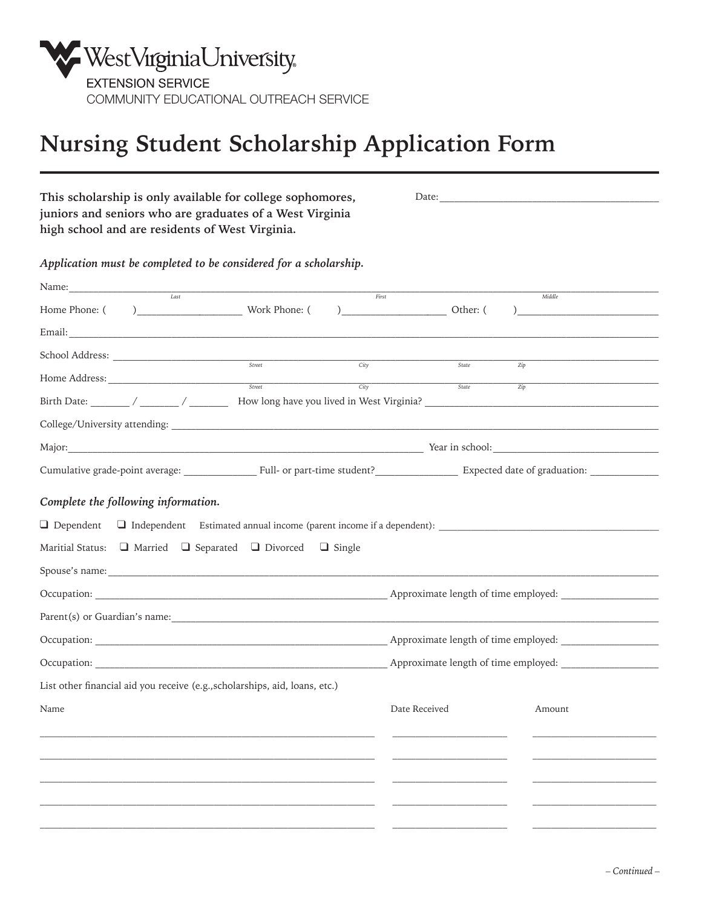

## **Nursing Student Scholarship Application Form**

| This scholarship is only available for college sophomores,<br>juniors and seniors who are graduates of a West Virginia<br>high school and are residents of West Virginia. |                                              |  |  |
|---------------------------------------------------------------------------------------------------------------------------------------------------------------------------|----------------------------------------------|--|--|
| Application must be completed to be considered for a scholarship.                                                                                                         |                                              |  |  |
| Name: $\frac{1}{\sqrt{100}}$                                                                                                                                              |                                              |  |  |
|                                                                                                                                                                           | First<br>Middle                              |  |  |
|                                                                                                                                                                           |                                              |  |  |
| $\begin{tabular}{c} \multicolumn{2}{c} {\textbf{8} }t\end{tabular}$                                                                                                       |                                              |  |  |
| City                                                                                                                                                                      | State<br>Zip                                 |  |  |
|                                                                                                                                                                           | $\frac{1}{\text{State}}$<br>$\overline{Zip}$ |  |  |
|                                                                                                                                                                           |                                              |  |  |
|                                                                                                                                                                           |                                              |  |  |
| Cumulative grade-point average: ____________________Full- or part-time student? ____________________ Expected date of graduation: __________________________              |                                              |  |  |
| Complete the following information.<br>Maritial Status: $\Box$ Married $\Box$ Separated $\Box$ Divorced $\Box$ Single                                                     |                                              |  |  |
|                                                                                                                                                                           |                                              |  |  |
|                                                                                                                                                                           |                                              |  |  |
|                                                                                                                                                                           |                                              |  |  |
|                                                                                                                                                                           |                                              |  |  |
| List other financial aid you receive (e.g., scholarships, aid, loans, etc.)                                                                                               |                                              |  |  |
| Name                                                                                                                                                                      | Date Received<br>Amount                      |  |  |
|                                                                                                                                                                           |                                              |  |  |
|                                                                                                                                                                           |                                              |  |  |
|                                                                                                                                                                           |                                              |  |  |
|                                                                                                                                                                           |                                              |  |  |